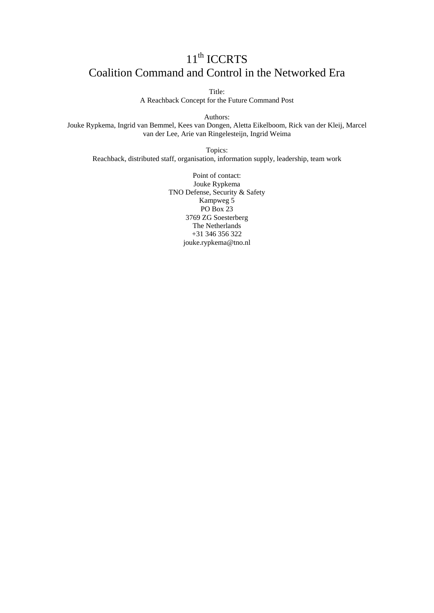# 11<sup>th</sup> ICCRTS Coalition Command and Control in the Networked Era

Title:

A Reachback Concept for the Future Command Post

Authors:

Jouke Rypkema, Ingrid van Bemmel, Kees van Dongen, Aletta Eikelboom, Rick van der Kleij, Marcel van der Lee, Arie van Ringelesteijn, Ingrid Weima

Topics: Reachback, distributed staff, organisation, information supply, leadership, team work

> Point of contact: Jouke Rypkema TNO Defense, Security & Safety Kampweg 5 PO Box 23 3769 ZG Soesterberg The Netherlands +31 346 356 322 jouke.rypkema@tno.nl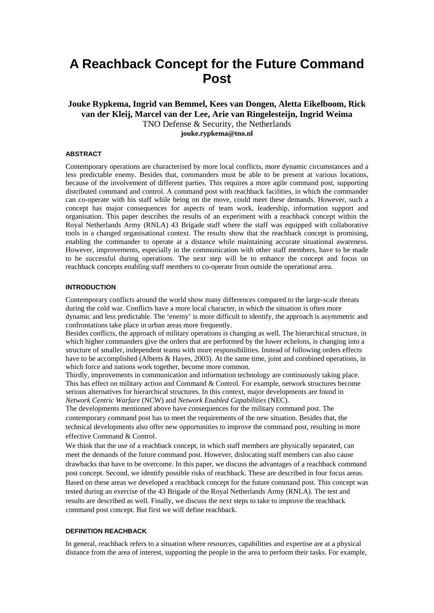# **A Reachback Concept for the Future Command Post**

**Jouke Rypkema, Ingrid van Bemmel, Kees van Dongen, Aletta Eikelboom, Rick van der Kleij, Marcel van der Lee, Arie van Ringelesteijn, Ingrid Weima**  TNO Defense & Security, the Netherlands **jouke.rypkema@tno.nl**

## **ABSTRACT**

Contemporary operations are characterised by more local conflicts, more dynamic circumstances and a less predictable enemy. Besides that, commanders must be able to be present at various locations, because of the involvement of different parties. This requires a more agile command post, supporting distributed command and control. A command post with reachback facilities, in which the commander can co-operate with his staff while being on the move, could meet these demands. However, such a concept has major consequences for aspects of team work, leadership, information support and organisation. This paper describes the results of an experiment with a reachback concept within the Royal Netherlands Army (RNLA) 43 Brigade staff where the staff was equipped with collaborative tools in a changed organisational context. The results show that the reachback concept is promising, enabling the commander to operate at a distance while maintaining accurate situational awareness. However, improvements, especially in the communication with other staff members, have to be made to be successful during operations. The next step will be to enhance the concept and focus on reachback concepts enabling staff members to co-operate from outside the operational area.

# **INTRODUCTION**

Contemporary conflicts around the world show many differences compared to the large-scale threats during the cold war. Conflicts have a more local character, in which the situation is often more dynamic and less predictable. The 'enemy' is more difficult to identify, the approach is asymmetric and confrontations take place in urban areas more frequently.

Besides conflicts, the approach of military operations is changing as well. The hierarchical structure, in which higher commanders give the orders that are performed by the lower echelons, is changing into a structure of smaller, independent teams with more responsibilities. Instead of following orders effects have to be accomplished (Alberts & Hayes, 2003). At the same time, joint and combined operations, in which force and nations work together, become more common.

Thirdly, improvements in communication and information technology are continuously taking place. This has effect on military action and Command & Control. For example, network structures become serious alternatives for hierarchical structures. In this context, major developments are found in *Network Centric Warfare* (NCW) and *Network Enabled Capabilities* (NEC).

The developments mentioned above have consequences for the military command post. The contemporary command post has to meet the requirements of the new situation. Besides that, the technical developments also offer new opportunities to improve the command post, resulting in more effective Command & Control.

We think that the use of a reachback concept, in which staff members are physically separated, can meet the demands of the future command post. However, dislocating staff members can also cause drawbacks that have to be overcome. In this paper, we discuss the advantages of a reachback command post concept. Second, we identify possible risks of reachback. These are described in four focus areas. Based on these areas we developed a reachback concept for the future command post. This concept was tested during an exercise of the 43 Brigade of the Royal Netherlands Army (RNLA). The test and results are described as well. Finally, we discuss the next steps to take to improve the reachback command post concept. But first we will define reachback.

# **DEFINITION REACHBACK**

In general, reachback refers to a situation where resources, capabilities and expertise are at a physical distance from the area of interest, supporting the people in the area to perform their tasks. For example,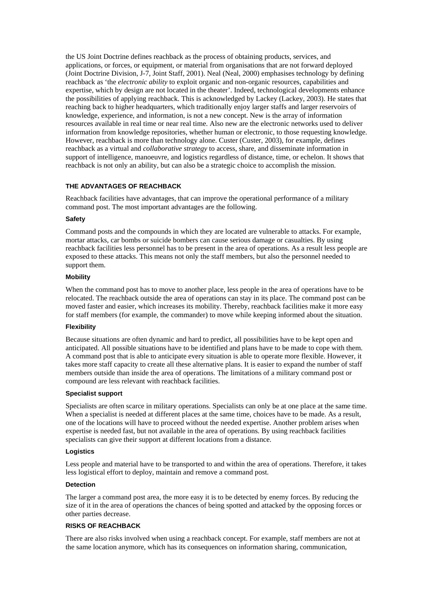the US Joint Doctrine defines reachback as the process of obtaining products, services, and applications, or forces, or equipment, or material from organisations that are not forward deployed (Joint Doctrine Division, J-7, Joint Staff, 2001). Neal (Neal, 2000) emphasises technology by defining reachback as 'the *electronic ability* to exploit organic and non-organic resources, capabilities and expertise, which by design are not located in the theater'. Indeed, technological developments enhance the possibilities of applying reachback. This is acknowledged by Lackey (Lackey, 2003). He states that reaching back to higher headquarters, which traditionally enjoy larger staffs and larger reservoirs of knowledge, experience, and information, is not a new concept. New is the array of information resources available in real time or near real time. Also new are the electronic networks used to deliver information from knowledge repositories, whether human or electronic, to those requesting knowledge. However, reachback is more than technology alone. Custer (Custer, 2003), for example, defines reachback as a virtual and *collaborative strategy* to access, share, and disseminate information in support of intelligence, manoeuvre, and logistics regardless of distance, time, or echelon. It shows that reachback is not only an ability, but can also be a strategic choice to accomplish the mission.

# **THE ADVANTAGES OF REACHBACK**

Reachback facilities have advantages, that can improve the operational performance of a military command post. The most important advantages are the following.

# **Safety**

Command posts and the compounds in which they are located are vulnerable to attacks. For example, mortar attacks, car bombs or suicide bombers can cause serious damage or casualties. By using reachback facilities less personnel has to be present in the area of operations. As a result less people are exposed to these attacks. This means not only the staff members, but also the personnel needed to support them.

#### **Mobility**

When the command post has to move to another place, less people in the area of operations have to be relocated. The reachback outside the area of operations can stay in its place. The command post can be moved faster and easier, which increases its mobility. Thereby, reachback facilities make it more easy for staff members (for example, the commander) to move while keeping informed about the situation.

## **Flexibility**

Because situations are often dynamic and hard to predict, all possibilities have to be kept open and anticipated. All possible situations have to be identified and plans have to be made to cope with them. A command post that is able to anticipate every situation is able to operate more flexible. However, it takes more staff capacity to create all these alternative plans. It is easier to expand the number of staff members outside than inside the area of operations. The limitations of a military command post or compound are less relevant with reachback facilities.

## **Specialist support**

Specialists are often scarce in military operations. Specialists can only be at one place at the same time. When a specialist is needed at different places at the same time, choices have to be made. As a result, one of the locations will have to proceed without the needed expertise. Another problem arises when expertise is needed fast, but not available in the area of operations. By using reachback facilities specialists can give their support at different locations from a distance.

#### **Logistics**

Less people and material have to be transported to and within the area of operations. Therefore, it takes less logistical effort to deploy, maintain and remove a command post.

## **Detection**

The larger a command post area, the more easy it is to be detected by enemy forces. By reducing the size of it in the area of operations the chances of being spotted and attacked by the opposing forces or other parties decrease.

# **RISKS OF REACHBACK**

There are also risks involved when using a reachback concept. For example, staff members are not at the same location anymore, which has its consequences on information sharing, communication,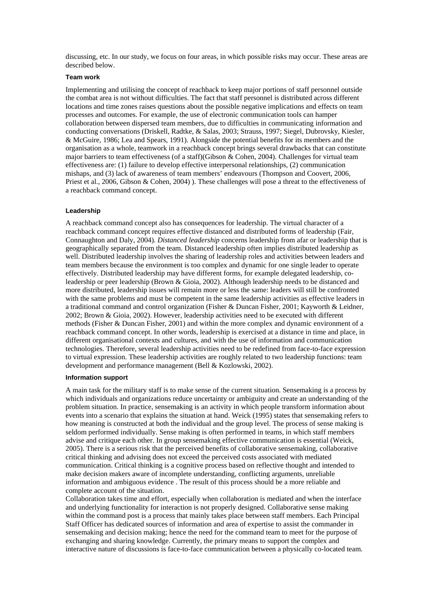discussing, etc. In our study, we focus on four areas, in which possible risks may occur. These areas are described below.

# **Team work**

Implementing and utilising the concept of reachback to keep major portions of staff personnel outside the combat area is not without difficulties. The fact that staff personnel is distributed across different locations and time zones raises questions about the possible negative implications and effects on team processes and outcomes. For example, the use of electronic communication tools can hamper collaboration between dispersed team members, due to difficulties in communicating information and conducting conversations (Driskell, Radtke, & Salas, 2003; Strauss, 1997; Siegel, Dubrovsky, Kiesler, & McGuire, 1986; Lea and Spears, 1991). Alongside the potential benefits for its members and the organisation as a whole, teamwork in a reachback concept brings several drawbacks that can constitute major barriers to team effectiveness (of a staff)(Gibson & Cohen, 2004). Challenges for virtual team effectiveness are: (1) failure to develop effective interpersonal relationships, (2) communication mishaps, and (3) lack of awareness of team members' endeavours (Thompson and Coovert, 2006, Priest et al., 2006, Gibson & Cohen, 2004) ). These challenges will pose a threat to the effectiveness of a reachback command concept.

## **Leadership**

A reachback command concept also has consequences for leadership. The virtual character of a reachback command concept requires effective distanced and distributed forms of leadership (Fair, Connaughton and Daly, 2004). *Distanced leadership* concerns leadership from afar or leadership that is geographically separated from the team. Distanced leadership often implies distributed leadership as well. Distributed leadership involves the sharing of leadership roles and activities between leaders and team members because the environment is too complex and dynamic for one single leader to operate effectively. Distributed leadership may have different forms, for example delegated leadership, coleadership or peer leadership (Brown & Gioia, 2002). Although leadership needs to be distanced and more distributed, leadership issues will remain more or less the same: leaders will still be confronted with the same problems and must be competent in the same leadership activities as effective leaders in a traditional command and control organization (Fisher & Duncan Fisher, 2001; Kayworth & Leidner, 2002; Brown & Gioia, 2002). However, leadership activities need to be executed with different methods (Fisher & Duncan Fisher, 2001) and within the more complex and dynamic environment of a reachback command concept. In other words, leadership is exercised at a distance in time and place, in different organisational contexts and cultures, and with the use of information and communication technologies. Therefore, several leadership activities need to be redefined from face-to-face expression to virtual expression. These leadership activities are roughly related to two leadership functions: team development and performance management (Bell & Kozlowski, 2002).

## **Information support**

A main task for the military staff is to make sense of the current situation. Sensemaking is a process by which individuals and organizations reduce uncertainty or ambiguity and create an understanding of the problem situation. In practice, sensemaking is an activity in which people transform information about events into a scenario that explains the situation at hand. Weick (1995) states that sensemaking refers to how meaning is constructed at both the individual and the group level. The process of sense making is seldom performed individually. Sense making is often performed in teams, in which staff members advise and critique each other. In group sensemaking effective communication is essential (Weick, 2005). There is a serious risk that the perceived benefits of collaborative sensemaking, collaborative critical thinking and advising does not exceed the perceived costs associated with mediated communication. Critical thinking is a cognitive process based on reflective thought and intended to make decision makers aware of incomplete understanding, conflicting arguments, unreliable information and ambiguous evidence . The result of this process should be a more reliable and complete account of the situation.

Collaboration takes time and effort, especially when collaboration is mediated and when the interface and underlying functionality for interaction is not properly designed. Collaborative sense making within the command post is a process that mainly takes place between staff members. Each Principal Staff Officer has dedicated sources of information and area of expertise to assist the commander in sensemaking and decision making; hence the need for the command team to meet for the purpose of exchanging and sharing knowledge. Currently, the primary means to support the complex and interactive nature of discussions is face-to-face communication between a physically co-located team.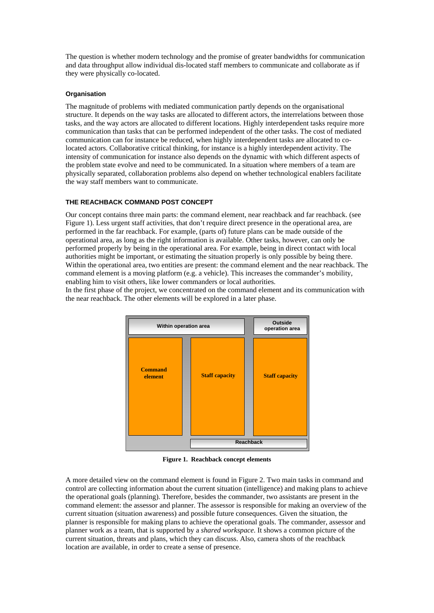The question is whether modern technology and the promise of greater bandwidths for communication and data throughput allow individual dis-located staff members to communicate and collaborate as if they were physically co-located.

# **Organisation**

The magnitude of problems with mediated communication partly depends on the organisational structure. It depends on the way tasks are allocated to different actors, the interrelations between those tasks, and the way actors are allocated to different locations. Highly interdependent tasks require more communication than tasks that can be performed independent of the other tasks. The cost of mediated communication can for instance be reduced, when highly interdependent tasks are allocated to colocated actors. Collaborative critical thinking, for instance is a highly interdependent activity. The intensity of communication for instance also depends on the dynamic with which different aspects of the problem state evolve and need to be communicated. In a situation where members of a team are physically separated, collaboration problems also depend on whether technological enablers facilitate the way staff members want to communicate.

# **THE REACHBACK COMMAND POST CONCEPT**

Our concept contains three main parts: the command element, near reachback and far reachback. (see Figure 1). Less urgent staff activities, that don't require direct presence in the operational area, are performed in the far reachback. For example, (parts of) future plans can be made outside of the operational area, as long as the right information is available. Other tasks, however, can only be performed properly by being in the operational area. For example, being in direct contact with local authorities might be important, or estimating the situation properly is only possible by being there. Within the operational area, two entities are present: the command element and the near reachback. The command element is a moving platform (e.g. a vehicle). This increases the commander's mobility, enabling him to visit others, like lower commanders or local authorities.

In the first phase of the project, we concentrated on the command element and its communication with the near reachback. The other elements will be explored in a later phase.



**Figure 1. Reachback concept elements** 

A more detailed view on the command element is found in Figure 2. Two main tasks in command and control are collecting information about the current situation (intelligence) and making plans to achieve the operational goals (planning). Therefore, besides the commander, two assistants are present in the command element: the assessor and planner. The assessor is responsible for making an overview of the current situation (situation awareness) and possible future consequences. Given the situation, the planner is responsible for making plans to achieve the operational goals. The commander, assessor and planner work as a team, that is supported by a *shared workspace*. It shows a common picture of the current situation, threats and plans, which they can discuss. Also, camera shots of the reachback location are available, in order to create a sense of presence.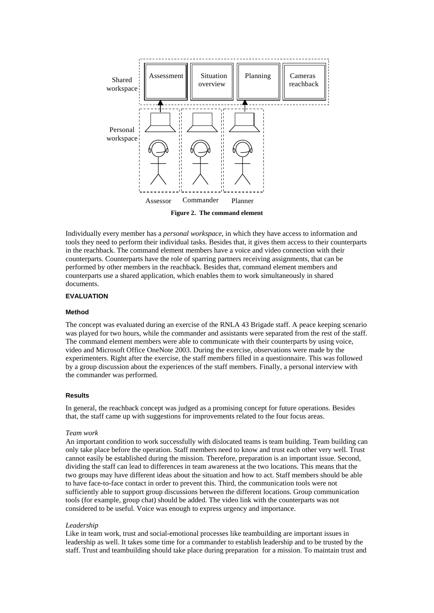

**Figure 2. The command element** 

Individually every member has a *personal workspace*, in which they have access to information and tools they need to perform their individual tasks. Besides that, it gives them access to their counterparts in the reachback. The command element members have a voice and video connection with their counterparts. Counterparts have the role of sparring partners receiving assignments, that can be performed by other members in the reachback. Besides that, command element members and counterparts use a shared application, which enables them to work simultaneously in shared documents.

## **EVALUATION**

#### **Method**

The concept was evaluated during an exercise of the RNLA 43 Brigade staff. A peace keeping scenario was played for two hours, while the commander and assistants were separated from the rest of the staff. The command element members were able to communicate with their counterparts by using voice, video and Microsoft Office OneNote 2003. During the exercise, observations were made by the experimenters. Right after the exercise, the staff members filled in a questionnaire. This was followed by a group discussion about the experiences of the staff members. Finally, a personal interview with the commander was performed.

## **Results**

In general, the reachback concept was judged as a promising concept for future operations. Besides that, the staff came up with suggestions for improvements related to the four focus areas.

## *Team work*

An important condition to work successfully with dislocated teams is team building. Team building can only take place before the operation. Staff members need to know and trust each other very well. Trust cannot easily be established during the mission. Therefore, preparation is an important issue. Second, dividing the staff can lead to differences in team awareness at the two locations. This means that the two groups may have different ideas about the situation and how to act. Staff members should be able to have face-to-face contact in order to prevent this. Third, the communication tools were not sufficiently able to support group discussions between the different locations. Group communication tools (for example, group chat) should be added. The video link with the counterparts was not considered to be useful. Voice was enough to express urgency and importance.

#### *Leadership*

Like in team work, trust and social-emotional processes like teambuilding are important issues in leadership as well. It takes some time for a commander to establish leadership and to be trusted by the staff. Trust and teambuilding should take place during preparation for a mission. To maintain trust and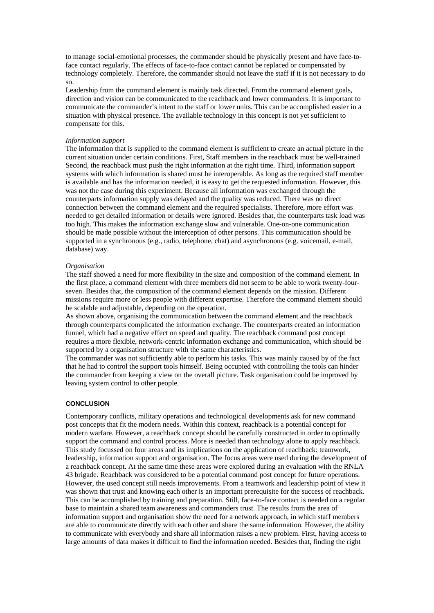to manage social-emotional processes, the commander should be physically present and have face-toface contact regularly. The effects of face-to-face contact cannot be replaced or compensated by technology completely. Therefore, the commander should not leave the staff if it is not necessary to do so.

Leadership from the command element is mainly task directed. From the command element goals, direction and vision can be communicated to the reachback and lower commanders. It is important to communicate the commander's intent to the staff or lower units. This can be accomplished easier in a situation with physical presence. The available technology in this concept is not yet sufficient to compensate for this.

#### *Information support*

The information that is supplied to the command element is sufficient to create an actual picture in the current situation under certain conditions. First, Staff members in the reachback must be well-trained Second, the reachback must push the right information at the right time. Third, information support systems with which information is shared must be interoperable. As long as the required staff member is available and has the information needed, it is easy to get the requested information. However, this was not the case during this experiment. Because all information was exchanged through the counterparts information supply was delayed and the quality was reduced. There was no direct connection between the command element and the required specialists. Therefore, more effort was needed to get detailed information or details were ignored. Besides that, the counterparts task load was too high. This makes the information exchange slow and vulnerable. One-on-one communication should be made possible without the interception of other persons. This communication should be supported in a synchronous (e.g., radio, telephone, chat) and asynchronous (e.g. voicemail, e-mail, database) way.

## *Organisation*

The staff showed a need for more flexibility in the size and composition of the command element. In the first place, a command element with three members did not seem to be able to work twenty-fourseven. Besides that, the composition of the command element depends on the mission. Different missions require more or less people with different expertise. Therefore the command element should be scalable and adjustable, depending on the operation.

As shown above, organising the communication between the command element and the reachback through counterparts complicated the information exchange. The counterparts created an information funnel, which had a negative effect on speed and quality. The reachback command post concept requires a more flexible, network-centric information exchange and communication, which should be supported by a organisation structure with the same characteristics.

The commander was not sufficiently able to perform his tasks. This was mainly caused by of the fact that he had to control the support tools himself. Being occupied with controlling the tools can hinder the commander from keeping a view on the overall picture. Task organisation could be improved by leaving system control to other people.

# **CONCLUSION**

Contemporary conflicts, military operations and technological developments ask for new command post concepts that fit the modern needs. Within this context, reachback is a potential concept for modern warfare. However, a reachback concept should be carefully constructed in order to optimally support the command and control process. More is needed than technology alone to apply reachback. This study focussed on four areas and its implications on the application of reachback: teamwork, leadership, information support and organisation. The focus areas were used during the development of a reachback concept. At the same time these areas were explored during an evaluation with the RNLA 43 brigade. Reachback was considered to be a potential command post concept for future operations. However, the used concept still needs improvements. From a teamwork and leadership point of view it was shown that trust and knowing each other is an important prerequisite for the success of reachback. This can be accomplished by training and preparation. Still, face-to-face contact is needed on a regular base to maintain a shared team awareness and commanders trust. The results from the area of information support and organisation show the need for a network approach, in which staff members are able to communicate directly with each other and share the same information. However, the ability to communicate with everybody and share all information raises a new problem. First, having access to large amounts of data makes it difficult to find the information needed. Besides that, finding the right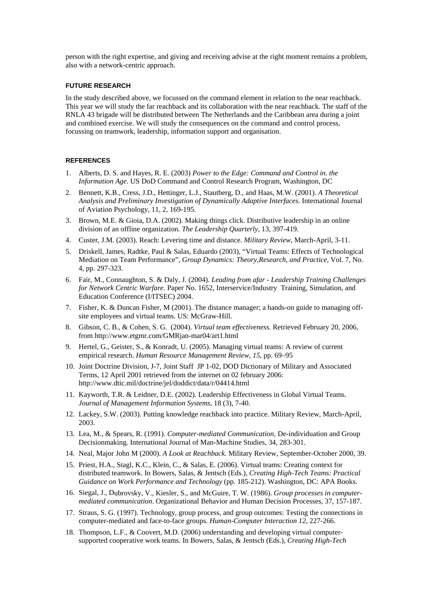person with the right expertise, and giving and receiving advise at the right moment remains a problem, also with a network-centric approach.

## **FUTURE RESEARCH**

In the study described above, we focussed on the command element in relation to the near reachback. This year we will study the far reachback and its collaboration with the near reachback. The staff of the RNLA 43 brigade will be distributed between The Netherlands and the Caribbean area during a joint and combined exercise. We will study the consequences on the command and control process, focussing on teamwork, leadership, information support and organisation.

# **REFERENCES**

- 1. Alberts, D. S. and Hayes, R. E. (2003) *Power to the Edge: Command and Control in. the Information Age*. US DoD Command and Control Research Program, Washington, DC
- 2. Bennett, K.B., Cress, J.D., Hettinger, L.J., Stautberg, D., and Haas, M.W. (2001). *A Theoretical Analysis and Preliminary Investigation of Dynamically Adaptive Interfaces*. International Journal of Aviation Psychology, 11, 2, 169-195.
- 3. Brown, M.E. & Gioia, D.A. (2002). Making things click. Distributive leadership in an online division of an offline organization. *The Leadership Quarterly*, 13, 397-419.
- 4. Custer, J.M. (2003). Reach: Levering time and distance. *Military Review*, March-April, 3-11.
- 5. Driskell, James, Radtke, Paul & Salas, Eduardo (2003), "Virtual Teams: Effects of Technological Mediation on Team Performance", *Group Dynamics: Theory,Research, and Practice*, Vol. 7, No. 4, pp. 297-323.
- 6. Fair, M., Connaughton, S. & Daly, J. (2004). *Leading from afar Leadership Training Challenges for Network Centric Warfare.* Paper No. 1652, Interservice/Industry Training, Simulation, and Education Conference (I/ITSEC) 2004.
- 7. Fisher, K. & Duncan Fisher, M (2001). The distance manager; a hands-on guide to managing offsite employees and virtual teams. US: McGraw-Hill.
- 8. Gibson, C. B., & Cohen, S. G. (2004). *Virtual team effectiveness.* Retrieved February 20, 2006, from http://www.etgmr.com/GMRjan-mar04/art1.html
- 9. Hertel, G., Geister, S., & Konradt, U. (2005). Managing virtual teams: A review of current empirical research. *Human Resource Management Review, 15*, pp. 69–95
- 10. Joint Doctrine Division, J-7, Joint Staff JP 1-02, DOD Dictionary of Military and Associated Terms, 12 April 2001 retrieved from the internet on 02 february 2006: http://www.dtic.mil/doctrine/jel/doddict/data/r/04414.html
- 11. Kayworth, T.R. & Leidner, D.E. (2002). Leadership Effectiveness in Global Virtual Teams. *Journal of Management Information Systems*, 18 (3), 7-40.
- 12. Lackey, S.W. (2003). Putting knowledge reachback into practice. Military Review, March-April, 2003.
- 13. Lea, M., & Spears, R. (1991). *Computer-mediated Communication*, De-individuation and Group Decisionmaking. International Journal of Man-Machine Studies, 34, 283-301.
- 14. Neal, Major John M (2000). *A Look at Reachback*. Military Review, September-October 2000, 39.
- 15. Priest, H.A., Stagl, K.C., Klein, C., & Salas, E. (2006). Virtual teams: Creating context for distributed teamwork. In Bowers, Salas, & Jentsch (Eds.), *Creating High-Tech Teams: Practical Guidance on Work Performance and Technology* (pp. 185-212). Washington, DC: APA Books.
- 16. Siegal, J., Dubrovsky, V., Kiesler, S., and McGuire, T. W. (1986). *Group processes in computermediated communication*. Organizational Behavior and Human Decision Processes, 37, 157-187.
- 17. Straus, S. G. (1997). Technology, group process, and group outcomes: Testing the connections in computer-mediated and face-to-face groups. *Human-Computer Interaction 12*, 227-266.
- 18. Thompson, L.F., & Coovert, M.D. (2006) understanding and developing virtual computersupported cooperative work teams. In Bowers, Salas, & Jentsch (Eds.), *Creating High-Tech*